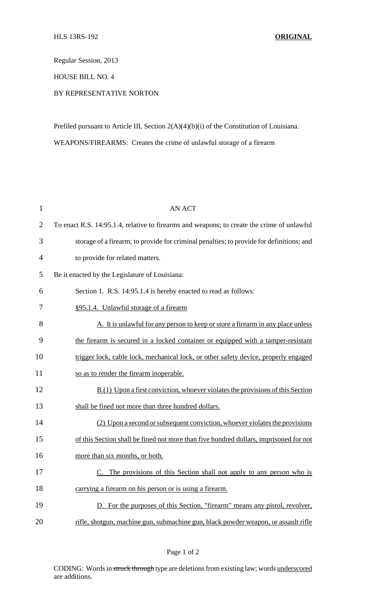Regular Session, 2013

HOUSE BILL NO. 4

## BY REPRESENTATIVE NORTON

Prefiled pursuant to Article III, Section 2(A)(4)(b)(i) of the Constitution of Louisiana. WEAPONS/FIREARMS: Creates the crime of unlawful storage of a firearm

| $\mathbf{1}$   | <b>AN ACT</b>                                                                              |
|----------------|--------------------------------------------------------------------------------------------|
| $\overline{2}$ | To enact R.S. 14:95.1.4, relative to firearms and weapons; to create the crime of unlawful |
| 3              | storage of a firearm; to provide for criminal penalties; to provide for definitions; and   |
| 4              | to provide for related matters.                                                            |
| 5              | Be it enacted by the Legislature of Louisiana:                                             |
| 6              | Section 1. R.S. 14:95.1.4 is hereby enacted to read as follows:                            |
| 7              | §95.1.4. Unlawful storage of a firearm                                                     |
| 8              | A. It is unlawful for any person to keep or store a firearm in any place unless            |
| 9              | the firearm is secured in a locked container or equipped with a tamper-resistant           |
| 10             | trigger lock, cable lock, mechanical lock, or other safety device, properly engaged        |
| 11             | so as to render the firearm inoperable.                                                    |
| 12             | $B(1)$ Upon a first conviction, whoever violates the provisions of this Section            |
| 13             | shall be fined not more than three hundred dollars.                                        |
| 14             | (2) Upon a second or subsequent conviction, whoever violates the provisions                |
| 15             | of this Section shall be fined not more than five hundred dollars, imprisoned for not      |
| 16             | more than six months, or both.                                                             |
| 17             | C. The provisions of this Section shall not apply to any person who is                     |
| 18             | carrying a firearm on his person or is using a firearm.                                    |
| 19             | D. For the purposes of this Section, "firearm" means any pistol, revolver,                 |
| 20             | rifle, shotgun, machine gun, submachine gun, black powder weapon, or assault rifle         |